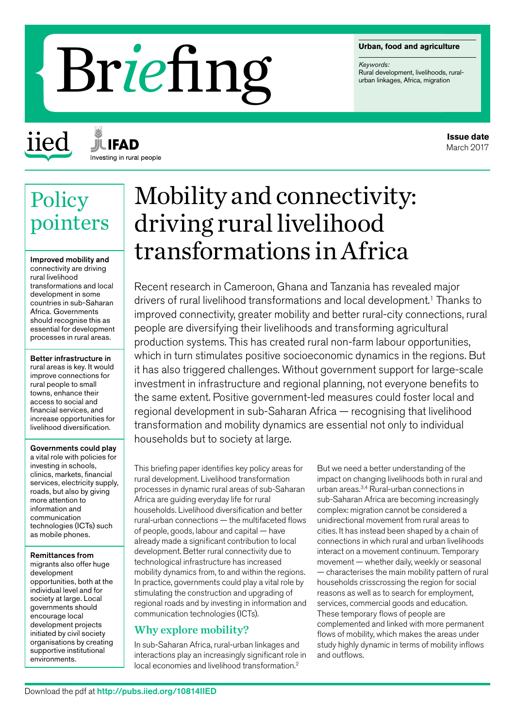#### **Urban, food and agriculture**

*Keywords:*

# Rural- development, livelihoods, rurban linkages, Africa, migration

iied

**JIL IFAD** Investing in rural people

# **Policy** pointers

Improved mobility and connectivity are driving rural livelihood transformations and local development in some countries in sub-Saharan Africa. Governments should recognise this as essential for development processes in rural areas.

Better infrastructure in rural areas is key. It would improve connections for rural people to small towns, enhance their access to social and financial services, and increase opportunities for livelihood diversification.

### Governments could play

a vital role with policies for investing in schools, clinics, markets, financial services, electricity supply, roads, but also by giving more attention to information and communication technologies (ICTs) such as mobile phones.

Remittances from

migrants also offer huge development opportunities, both at the individual level and for society at large. Local governments should encourage local development projects initiated by civil society organisations by creating supportive institutional environments.

# Mobility and connectivity: driving rural livelihood transformations in Africa

Recent research in Cameroon, Ghana and Tanzania has revealed major drivers of rural livelihood transformations and local development.<sup>1</sup> Thanks to improved connectivity, greater mobility and better rural-city connections, rural people are diversifying their livelihoods and transforming agricultural production systems. This has created rural non-farm labour opportunities, which in turn stimulates positive socioeconomic dynamics in the regions. But it has also triggered challenges. Without government support for large-scale investment in infrastructure and regional planning, not everyone benefits to the same extent. Positive government-led measures could foster local and regional development in sub-Saharan Africa — recognising that livelihood transformation and mobility dynamics are essential not only to individual households but to society at large.

This briefing paper identifies key policy areas for rural development. Livelihood transformation processes in dynamic rural areas of sub-Saharan Africa are guiding everyday life for rural households. Livelihood diversification and better rural-urban connections — the multifaceted flows of people, goods, labour and capital — have already made a significant contribution to local development. Better rural connectivity due to technological infrastructure has increased mobility dynamics from, to and within the regions. In practice, governments could play a vital role by stimulating the construction and upgrading of regional roads and by investing in information and communication technologies (ICTs).

# Why explore mobility?

In sub-Saharan Africa, rural-urban linkages and interactions play an increasingly significant role in local economies and livelihood transformation.2

But we need a better understanding of the impact on changing livelihoods both in rural and urban areas.3,4 Rural-urban connections in sub-Saharan Africa are becoming increasingly complex: migration cannot be considered a unidirectional movement from rural areas to cities. It has instead been shaped by a chain of connections in which rural and urban livelihoods interact on a movement continuum. Temporary movement — whether daily, weekly or seasonal — characterises the main mobility pattern of rural households crisscrossing the region for social reasons as well as to search for employment, services, commercial goods and education. These temporary flows of people are complemented and linked with more permanent flows of mobility, which makes the areas under study highly dynamic in terms of mobility inflows and outflows.

**Issue date** March 2017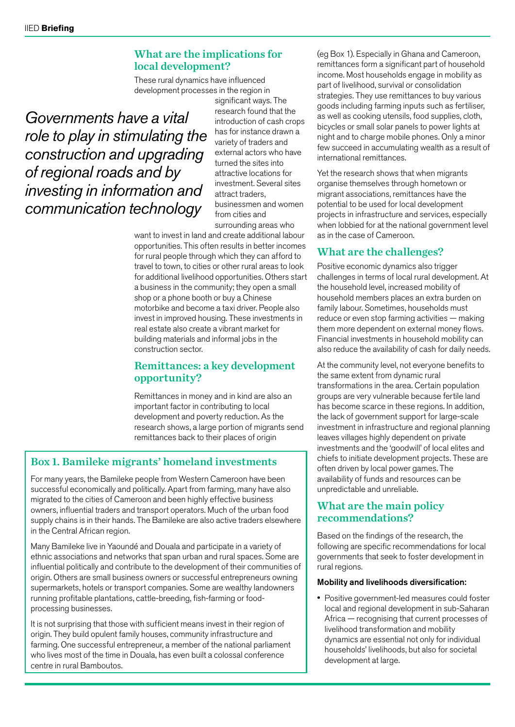# What are the implications for local development?

These rural dynamics have influenced development processes in the region in

*Governments have a vital role to play in stimulating the construction and upgrading of regional roads and by investing in information and communication technology*

significant ways. The research found that the introduction of cash crops has for instance drawn a variety of traders and external actors who have turned the sites into attractive locations for investment. Several sites attract traders, businessmen and women from cities and surrounding areas who

want to invest in land and create additional labour opportunities. This often results in better incomes for rural people through which they can afford to travel to town, to cities or other rural areas to look for additional livelihood opportunities. Others start a business in the community; they open a small shop or a phone booth or buy a Chinese motorbike and become a taxi driver. People also invest in improved housing. These investments in real estate also create a vibrant market for building materials and informal jobs in the construction sector.

## Remittances: a key development opportunity?

Remittances in money and in kind are also an important factor in contributing to local development and poverty reduction. As the research shows, a large portion of migrants send remittances back to their places of origin

# Box 1. Bamileke migrants' homeland investments

For many years, the Bamileke people from Western Cameroon have been successful economically and politically. Apart from farming, many have also migrated to the cities of Cameroon and been highly effective business owners, influential traders and transport operators. Much of the urban food supply chains is in their hands. The Bamileke are also active traders elsewhere in the Central African region.

Many Bamileke live in Yaoundé and Douala and participate in a variety of ethnic associations and networks that span urban and rural spaces. Some are influential politically and contribute to the development of their communities of origin. Others are small business owners or successful entrepreneurs owning supermarkets, hotels or transport companies. Some are wealthy landowners running profitable plantations, cattle-breeding, fish-farming or foodprocessing businesses.

It is not surprising that those with sufficient means invest in their region of origin. They build opulent family houses, community infrastructure and farming. One successful entrepreneur, a member of the national parliament who lives most of the time in Douala, has even built a colossal conference centre in rural Bamboutos.

(eg Box 1). Especially in Ghana and Cameroon, remittances form a significant part of household income. Most households engage in mobility as part of livelihood, survival or consolidation strategies. They use remittances to buy various goods including farming inputs such as fertiliser, as well as cooking utensils, food supplies, cloth, bicycles or small solar panels to power lights at night and to charge mobile phones. Only a minor few succeed in accumulating wealth as a result of international remittances.

Yet the research shows that when migrants organise themselves through hometown or migrant associations, remittances have the potential to be used for local development projects in infrastructure and services, especially when lobbied for at the national government level as in the case of Cameroon.

# What are the challenges?

Positive economic dynamics also trigger challenges in terms of local rural development. At the household level, increased mobility of household members places an extra burden on family labour. Sometimes, households must reduce or even stop farming activities — making them more dependent on external money flows. Financial investments in household mobility can also reduce the availability of cash for daily needs.

At the community level, not everyone benefits to the same extent from dynamic rural transformations in the area. Certain population groups are very vulnerable because fertile land has become scarce in these regions. In addition, the lack of government support for large-scale investment in infrastructure and regional planning leaves villages highly dependent on private investments and the 'goodwill' of local elites and chiefs to initiate development projects. These are often driven by local power games. The availability of funds and resources can be unpredictable and unreliable.

# What are the main policy recommendations?

Based on the findings of the research, the following are specific recommendations for local governments that seek to foster development in rural regions.

## Mobility and livelihoods diversification:

• Positive government-led measures could foster local and regional development in sub-Saharan Africa — recognising that current processes of livelihood transformation and mobility dynamics are essential not only for individual households' livelihoods, but also for societal development at large.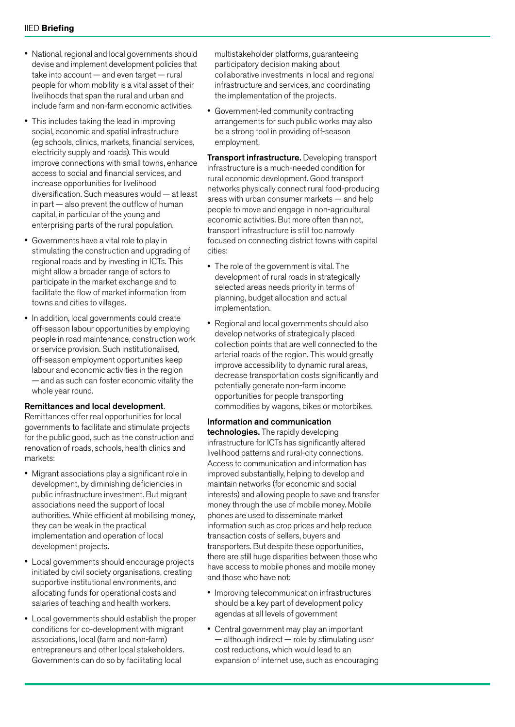- National, regional and local governments should devise and implement development policies that take into account — and even target — rural people for whom mobility is a vital asset of their livelihoods that span the rural and urban and include farm and non-farm economic activities.
- This includes taking the lead in improving social, economic and spatial infrastructure (eg schools, clinics, markets, financial services, electricity supply and roads). This would improve connections with small towns, enhance access to social and financial services, and increase opportunities for livelihood diversification. Such measures would — at least in part — also prevent the outflow of human capital, in particular of the young and enterprising parts of the rural population.
- Governments have a vital role to play in stimulating the construction and upgrading of regional roads and by investing in ICTs. This might allow a broader range of actors to participate in the market exchange and to facilitate the flow of market information from towns and cities to villages.
- In addition, local governments could create off-season labour opportunities by employing people in road maintenance, construction work or service provision. Such institutionalised, off-season employment opportunities keep labour and economic activities in the region — and as such can foster economic vitality the whole year round.

#### Remittances and local development.

Remittances offer real opportunities for local governments to facilitate and stimulate projects for the public good, such as the construction and renovation of roads, schools, health clinics and markets:

- Migrant associations play a significant role in development, by diminishing deficiencies in public infrastructure investment. But migrant associations need the support of local authorities. While efficient at mobilising money, they can be weak in the practical implementation and operation of local development projects.
- Local governments should encourage projects initiated by civil society organisations, creating supportive institutional environments, and allocating funds for operational costs and salaries of teaching and health workers.
- Local governments should establish the proper conditions for co-development with migrant associations, local (farm and non-farm) entrepreneurs and other local stakeholders. Governments can do so by facilitating local

multistakeholder platforms, guaranteeing participatory decision making about collaborative investments in local and regional infrastructure and services, and coordinating the implementation of the projects.

• Government-led community contracting arrangements for such public works may also be a strong tool in providing off-season employment.

Transport infrastructure. Developing transport infrastructure is a much-needed condition for rural economic development. Good transport networks physically connect rural food-producing areas with urban consumer markets — and help people to move and engage in non-agricultural economic activities. But more often than not, transport infrastructure is still too narrowly focused on connecting district towns with capital cities:

- The role of the government is vital. The development of rural roads in strategically selected areas needs priority in terms of planning, budget allocation and actual implementation.
- Regional and local governments should also develop networks of strategically placed collection points that are well connected to the arterial roads of the region. This would greatly improve accessibility to dynamic rural areas, decrease transportation costs significantly and potentially generate non-farm income opportunities for people transporting commodities by wagons, bikes or motorbikes.

#### Information and communication

technologies. The rapidly developing infrastructure for ICTs has significantly altered livelihood patterns and rural-city connections. Access to communication and information has improved substantially, helping to develop and maintain networks (for economic and social interests) and allowing people to save and transfer money through the use of mobile money. Mobile phones are used to disseminate market information such as crop prices and help reduce transaction costs of sellers, buyers and transporters. But despite these opportunities, there are still huge disparities between those who have access to mobile phones and mobile money and those who have not:

- Improving telecommunication infrastructures should be a key part of development policy agendas at all levels of government
- Central government may play an important — although indirect — role by stimulating user cost reductions, which would lead to an expansion of internet use, such as encouraging